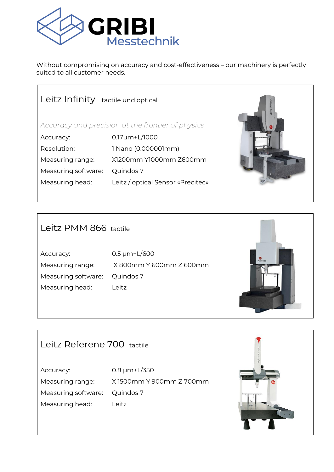

Without compromising on accuracy and cost-effectiveness – our machinery is perfectly suited to all customer needs.

| Leitz Infinity tactile und optical                |                                   |  |  |
|---------------------------------------------------|-----------------------------------|--|--|
| Accuracy and precision at the frontier of physics |                                   |  |  |
| Accuracy:                                         | $0.17 \mu m + L/1000$             |  |  |
| Resolution:                                       | 1 Nano (0.000001mm)               |  |  |
| Measuring range:                                  | X1200mm Y1000mm Z600mm            |  |  |
| Measuring software:                               | Quindos 7                         |  |  |
| Measuring head:                                   | Leitz / optical Sensor «Precitec» |  |  |
|                                                   |                                   |  |  |

### Leitz PMM 866 tactile

Accuracy: 0.5 µm+L/600 Measuring software: Quindos 7 Measuring head: Leitz

Measuring range: X 800mm Y 600mm Z 600mm



# Leitz Referene 700 tactile

Accuracy: 0.8 µm+L/350 Measuring software: Quindos 7 Measuring head: Leitz

Measuring range: X 1500mm Y 900mm Z 700mm

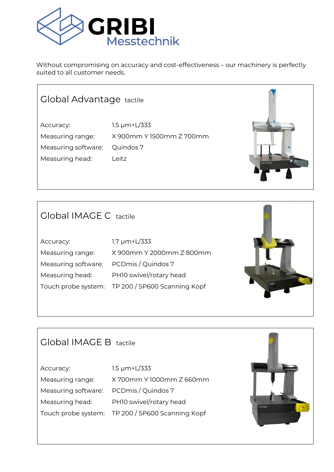

Without compromising on accuracy and cost-effectiveness – our machinery is perfectly suited to all customer needs.

### Global Advantage tactile

Accuracy: 1.5  $\mu$ m+L/333 Measuring range: X 900mm Y 1500mm Z 700mm Measuring software: Quindos 7 Measuring head: Leitz



#### Global IMAGE C tactile

| Accuracy:           | $1.7 \mu m + L/333$                              |
|---------------------|--------------------------------------------------|
| Measuring range:    | X 900mm Y 2000mm Z 800mm                         |
| Measuring software: | PCDmis / Quindos 7                               |
| Measuring head:     | PHIO swivel/rotary head                          |
|                     | Touch probe system: TP 200 / SP600 Scanning Kopf |
|                     |                                                  |



## Global IMAGE B tactile

Accuracy: 1.5 µm+L/333 Measuring range: X 700mm Y 1000mm Z 660mm Measuring software: PCDmis / Quindos 7 Measuring head: PH10 swivel/rotary head Touch probe system: TP 200 / SP600 Scanning Kopf